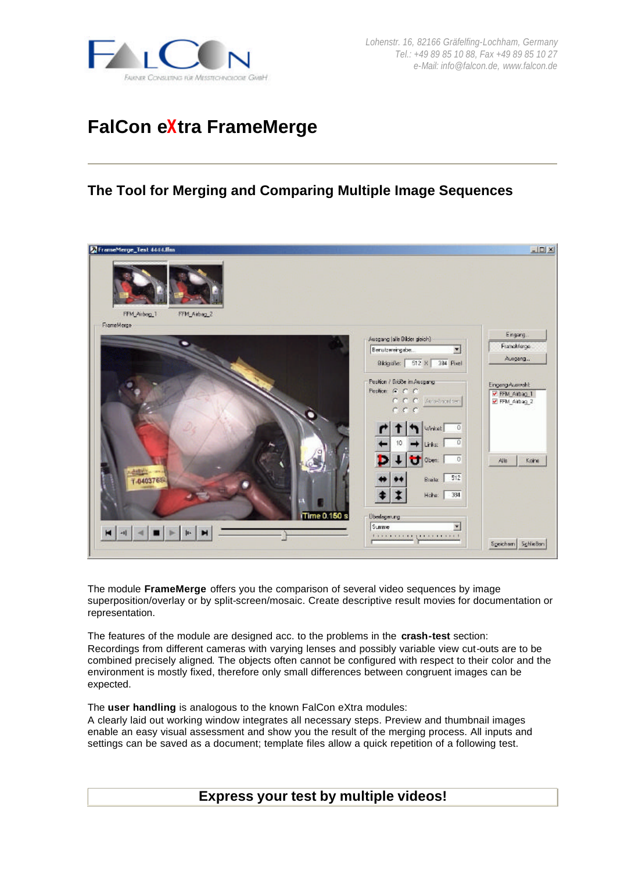

# **FalCon eXtra FrameMerge**

## **The Tool for Merging and Comparing Multiple Image Sequences**



The module **FrameMerge** offers you the comparison of several video sequences by image superposition/overlay or by split-screen/mosaic. Create descriptive result movies for documentation or representation.

The features of the module are designed acc. to the problems in the **crash-test** section: Recordings from different cameras with varying lenses and possibly variable view cut-outs are to be combined precisely aligned. The objects often cannot be configured with respect to their color and the environment is mostly fixed, therefore only small differences between congruent images can be expected.

The **user handling** is analogous to the known FalCon eXtra modules:

A clearly laid out working window integrates all necessary steps. Preview and thumbnail images enable an easy visual assessment and show you the result of the merging process. All inputs and settings can be saved as a document; template files allow a quick repetition of a following test.

**Express your test by multiple videos!**